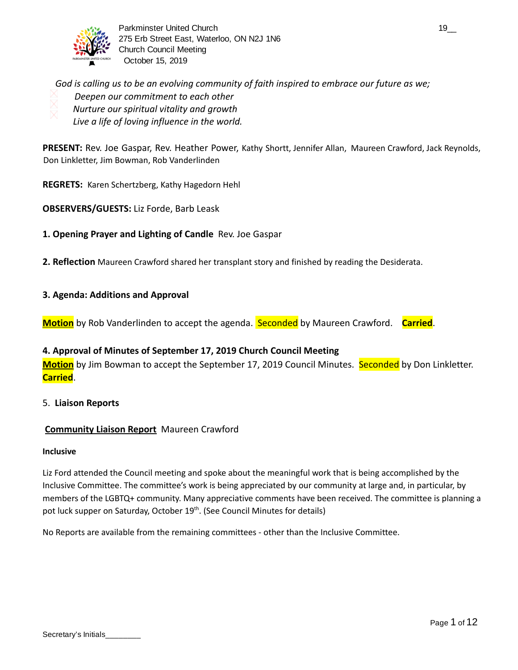

Parkminster United Church 19\_000 and 19\_000 and 19\_000 and 19\_000 and 19\_000 and 19\_000 and 19\_000 and 19\_000 and 19\_000 and 19\_000 and 19\_000 and 19\_000 and 19\_000 and 19\_000 and 19\_000 and 19\_000 and 19\_000 and 19\_000 an 275 Erb Street East, Waterloo, ON N2J 1N6 Church Council Meeting October 15, 2019

*God is calling us to be an evolving community of faith inspired to embrace our future as we; Deepen our commitment to each other Nurture our spiritual vitality and growth Live a life of loving influence in the world.* 

**PRESENT:** Rev. Joe Gaspar, Rev. Heather Power, Kathy Shortt, Jennifer Allan, Maureen Crawford, Jack Reynolds, Don Linkletter, Jim Bowman, Rob Vanderlinden

**REGRETS:** Karen Schertzberg, Kathy Hagedorn Hehl

**OBSERVERS/GUESTS:** Liz Forde, Barb Leask

**1. Opening Prayer and Lighting of Candle** Rev. Joe Gaspar

**2. Reflection** Maureen Crawford shared her transplant story and finished by reading the Desiderata.

#### **3. Agenda: Additions and Approval**

**Motion** by Rob Vanderlinden to accept the agenda. Seconded by Maureen Crawford. **Carried** .

#### **4. Approval of Minutes of September 17, 2019 Church Council Meeting**

**Motion** by Jim Bowman to accept the September 17, 2019 Council Minutes. Seconded by Don Linkletter. **Carried** .

#### 5. **Liaison Reports**

#### **Community Liaison Report** Maureen Crawford

#### **Inclusive**

Liz Ford attended the Council meeting and spoke about the meaningful work that is being accomplished by the Inclusive Committee. The committee's work is being appreciated by our community at large and, in particular, by members of the LGBTQ+ community. Many appreciative comments have been received. The committee is planning a pot luck supper on Saturday, October 19<sup>th</sup>. (See Council Minutes for details)

No Reports are available from the remaining committees - other than the Inclusive Committee.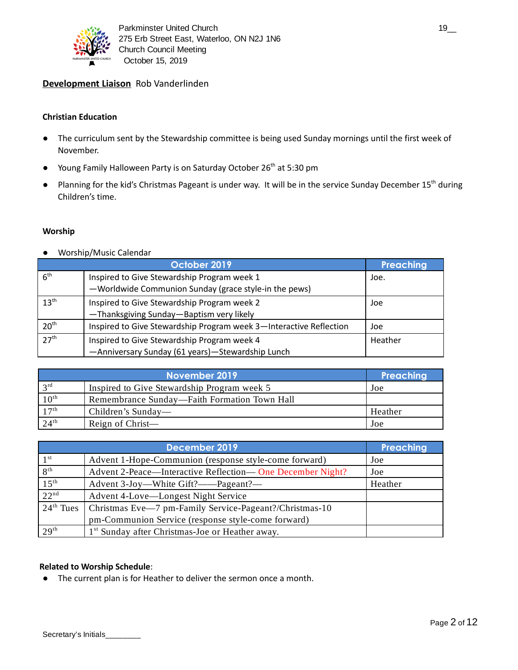

### **Development Liaison** Rob Vanderlinden

#### **Christian Education**

- The curriculum sent by the Stewardship committee is being used Sunday mornings until the first week of November.
- Young Family Halloween Party is on Saturday October 26<sup>th</sup> at 5:30 pm
- Planning for the kid's Christmas Pageant is under way. It will be in the service Sunday December 15<sup>th</sup> during Children's time.

#### **Worship**

● Worship/Music Calendar

|                  | October 2019                                                                                         | Preaching |
|------------------|------------------------------------------------------------------------------------------------------|-----------|
| 6 <sup>th</sup>  | Inspired to Give Stewardship Program week 1<br>-Worldwide Communion Sunday (grace style-in the pews) | Joe.      |
| $13^{\text{th}}$ | Inspired to Give Stewardship Program week 2<br>-Thanksgiving Sunday-Baptism very likely              | Joe       |
| 20 <sup>th</sup> | Inspired to Give Stewardship Program week 3-Interactive Reflection                                   | Joe       |
| 27 <sup>th</sup> | Inspired to Give Stewardship Program week 4<br>-Anniversary Sunday (61 years)-Stewardship Lunch      | Heather   |

|                  | Preaching                                    |         |
|------------------|----------------------------------------------|---------|
| 2 <sub>rd</sub>  | Inspired to Give Stewardship Program week 5  | Joe     |
| $10^{\text{th}}$ | Remembrance Sunday-Faith Formation Town Hall |         |
| 17 <sup>th</sup> | Children's Sunday—                           | Heather |
| $24^{\text{th}}$ | Reign of Christ—                             | Joe     |

|                  | Preaching                                                   |         |
|------------------|-------------------------------------------------------------|---------|
| 1 <sup>st</sup>  | Advent 1-Hope-Communion (response style-come forward)       | Joe     |
| $R^{\text{th}}$  | Advent 2-Peace—Interactive Reflection— One December Night?  | Joe     |
| $15^{\text{th}}$ | Advent 3-Joy—White Gift?——Pageant?—                         | Heather |
| 22 <sup>nd</sup> | Advent 4-Love—Longest Night Service                         |         |
| $24th$ Tues      | Christmas Eve-7 pm-Family Service-Pageant?/Christmas-10     |         |
|                  | pm-Communion Service (response style-come forward)          |         |
| 29 <sup>th</sup> | 1 <sup>st</sup> Sunday after Christmas-Joe or Heather away. |         |

#### **Related to Worship Schedule**:

● The current plan is for Heather to deliver the sermon once a month.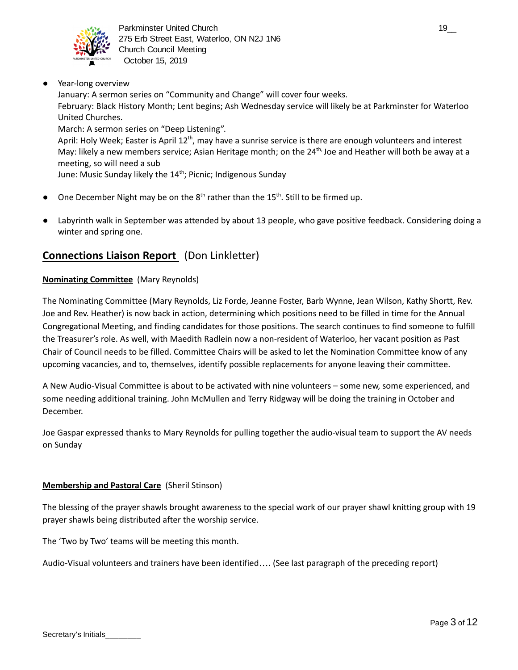

Year-long overview

January: A sermon series on "Community and Change" will cover four weeks. February: Black History Month; Lent begins; Ash Wednesday service will likely be at Parkminster for Waterloo United Churches.

March: A sermon series on "Deep Listening".

April: Holy Week; Easter is April 12<sup>th</sup>, may have a sunrise service is there are enough volunteers and interest May: likely a new members service; Asian Heritage month; on the 24<sup>th,</sup> Joe and Heather will both be away at a meeting, so will need a sub

June: Music Sunday likely the 14<sup>th</sup>; Picnic; Indigenous Sunday

- One December Night may be on the  $8<sup>th</sup>$  rather than the 15<sup>th</sup>. Still to be firmed up.
- Labyrinth walk in September was attended by about 13 people, who gave positive feedback. Considering doing a winter and spring one.

# **Connections Liaison Report** (Don Linkletter)

### **Nominating Committee** (Mary Reynolds)

The Nominating Committee (Mary Reynolds, Liz Forde, Jeanne Foster, Barb Wynne, Jean Wilson, Kathy Shortt, Rev. Joe and Rev. Heather) is now back in action, determining which positions need to be filled in time for the Annual Congregational Meeting, and finding candidates for those positions. The search continues to find someone to fulfill the Treasurer's role. As well, with Maedith Radlein now a non-resident of Waterloo, her vacant position as Past Chair of Council needs to be filled. Committee Chairs will be asked to let the Nomination Committee know of any upcoming vacancies, and to, themselves, identify possible replacements for anyone leaving their committee.

A New Audio-Visual Committee is about to be activated with nine volunteers – some new, some experienced, and some needing additional training. John McMullen and Terry Ridgway will be doing the training in October and December.

Joe Gaspar expressed thanks to Mary Reynolds for pulling together the audio-visual team to support the AV needs on Sunday

### **Membership and Pastoral Care** (Sheril Stinson)

The blessing of the prayer shawls brought awareness to the special work of our prayer shawl knitting group with 19 prayer shawls being distributed after the worship service.

The 'Two by Two' teams will be meeting this month.

Audio-Visual volunteers and trainers have been identified…. (See last paragraph of the preceding report)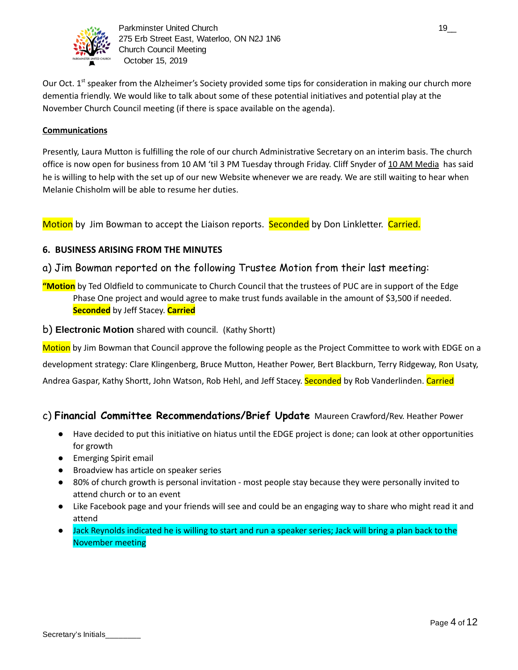

Our Oct. 1<sup>st</sup> speaker from the Alzheimer's Society provided some tips for consideration in making our church more dementia friendly. We would like to talk about some of these potential initiatives and potential play at the November Church Council meeting (if there is space available on the agenda).

### **Communications**

Presently, Laura Mutton is fulfilling the role of our church Administrative Secretary on an interim basis. The church office is now open for business from 10 AM 'til 3 PM Tuesday through Friday. Cliff Snyder of 10 AM Media has said he is willing to help with the set up of our new Website whenever we are ready. We are still waiting to hear when Melanie Chisholm will be able to resume her duties.

Motion by Jim Bowman to accept the Liaison reports. Seconded by Don Linkletter. Carried.

### **6. BUSINESS ARISING FROM THE MINUTES**

# a) Jim Bowman reported on the following Trustee Motion from their last meeting:

- **"Motion** by Ted Oldfield to communicate to Church Council that the trustees of PUC are in support of the Edge Phase One project and would agree to make trust funds available in the amount of \$3,500 if needed. **Seconded** by Jeff Stacey. **Carried**
- b) **Electronic Motion** shared with council. (Kathy Shortt)

Motion by Jim Bowman that Council approve the following people as the Project Committee to work with EDGE on a development strategy: Clare Klingenberg, Bruce Mutton, Heather Power, Bert Blackburn, Terry Ridgeway, Ron Usaty, Andrea Gaspar, Kathy Shortt, John Watson, Rob Hehl, and Jeff Stacey. Seconded by Rob Vanderlinden. Carried

### c) **Financial Committee Recommendations/Brief Update** Maureen Crawford/Rev. Heather Power

- Have decided to put this initiative on hiatus until the EDGE project is done; can look at other opportunities for growth
- Emerging Spirit email
- Broadview has article on speaker series
- 80% of church growth is personal invitation most people stay because they were personally invited to attend church or to an event
- Like Facebook page and your friends will see and could be an engaging way to share who might read it and attend
- Jack Reynolds indicated he is willing to start and run a speaker series; Jack will bring a plan back to the November meeting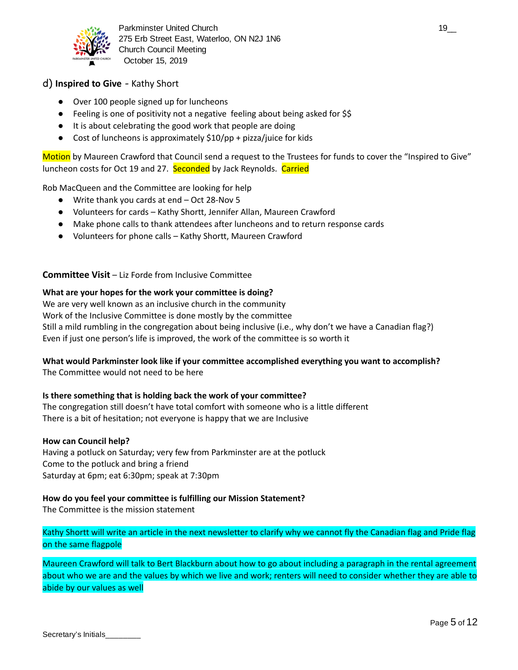

Parkminster United Church 19\_000 and 19\_000 and 19\_000 and 19\_000 and 19\_000 and 19\_000 and 19\_000 and 19\_000 and 19\_000 and 19\_000 and 19\_000 and 19\_000 and 19\_000 and 19\_000 and 19\_000 and 19\_000 and 19\_000 and 19\_000 an 275 Erb Street East, Waterloo, ON N2J 1N6 Church Council Meeting October 15, 2019

### d) **Inspired to Give** - Kathy Short

- Over 100 people signed up for luncheons
- Feeling is one of positivity not a negative feeling about being asked for \$\$
- It is about celebrating the good work that people are doing
- Cost of luncheons is approximately  $$10$ /pp + pizza/juice for kids

Motion by Maureen Crawford that Council send a request to the Trustees for funds to cover the "Inspired to Give" luncheon costs for Oct 19 and 27. Seconded by Jack Reynolds. Carried

Rob MacQueen and the Committee are looking for help

- Write thank you cards at end Oct 28-Nov 5
- Volunteers for cards Kathy Shortt, Jennifer Allan, Maureen Crawford
- Make phone calls to thank attendees after luncheons and to return response cards
- Volunteers for phone calls Kathy Shortt, Maureen Crawford

#### **Committee Visit** – Liz Forde from Inclusive Committee

#### **What are your hopes for the work your committee is doing?**

We are very well known as an inclusive church in the community Work of the Inclusive Committee is done mostly by the committee Still a mild rumbling in the congregation about being inclusive (i.e., why don't we have a Canadian flag?) Even if just one person's life is improved, the work of the committee is so worth it

#### **What would Parkminster look like if your committee accomplished everything you want to accomplish?**

The Committee would not need to be here

#### **Is there something that is holding back the work of your committee?**

The congregation still doesn't have total comfort with someone who is a little different There is a bit of hesitation; not everyone is happy that we are Inclusive

#### **How can Council help?**

Having a potluck on Saturday; very few from Parkminster are at the potluck Come to the potluck and bring a friend Saturday at 6pm; eat 6:30pm; speak at 7:30pm

#### **How do you feel your committee is fulfilling our Mission Statement?**

The Committee is the mission statement

Kathy Shortt will write an article in the next newsletter to clarify why we cannot fly the Canadian flag and Pride flag on the same flagpole

Maureen Crawford will talk to Bert Blackburn about how to go about including a paragraph in the rental agreement about who we are and the values by which we live and work; renters will need to consider whether they are able to abide by our values as well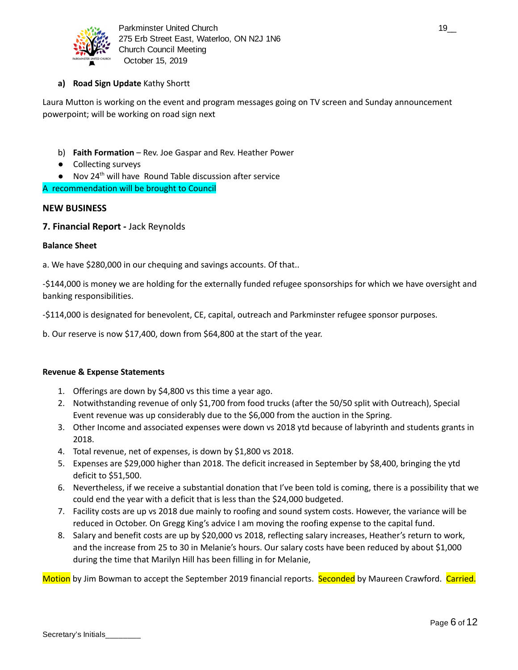

### **a) Road Sign Update** Kathy Shortt

Laura Mutton is working on the event and program messages going on TV screen and Sunday announcement powerpoint; will be working on road sign next

- b) **Faith Formation** Rev. Joe Gaspar and Rev. Heather Power
- Collecting surveys
- Nov 24<sup>th</sup> will have Round Table discussion after service

A recommendation will be brought to Council

#### **NEW BUSINESS**

**7. Financial Report -** Jack Reynolds

#### **Balance Sheet**

a. We have \$280,000 in our chequing and savings accounts. Of that..

-\$144,000 is money we are holding for the externally funded refugee sponsorships for which we have oversight and banking responsibilities.

-\$114,000 is designated for benevolent, CE, capital, outreach and Parkminster refugee sponsor purposes.

b. Our reserve is now \$17,400, down from \$64,800 at the start of the year.

#### **Revenue & Expense Statements**

- 1. Offerings are down by \$4,800 vs this time a year ago.
- 2. Notwithstanding revenue of only \$1,700 from food trucks (after the 50/50 split with Outreach), Special Event revenue was up considerably due to the \$6,000 from the auction in the Spring.
- 3. Other Income and associated expenses were down vs 2018 ytd because of labyrinth and students grants in 2018.
- 4. Total revenue, net of expenses, is down by \$1,800 vs 2018.
- 5. Expenses are \$29,000 higher than 2018. The deficit increased in September by \$8,400, bringing the ytd deficit to \$51,500.
- 6. Nevertheless, if we receive a substantial donation that I've been told is coming, there is a possibility that we could end the year with a deficit that is less than the \$24,000 budgeted.
- 7. Facility costs are up vs 2018 due mainly to roofing and sound system costs. However, the variance will be reduced in October. On Gregg King's advice I am moving the roofing expense to the capital fund.
- 8. Salary and benefit costs are up by \$20,000 vs 2018, reflecting salary increases, Heather's return to work, and the increase from 25 to 30 in Melanie's hours. Our salary costs have been reduced by about \$1,000 during the time that Marilyn Hill has been filling in for Melanie,

Motion by Jim Bowman to accept the September 2019 financial reports. Seconded by Maureen Crawford. Carried.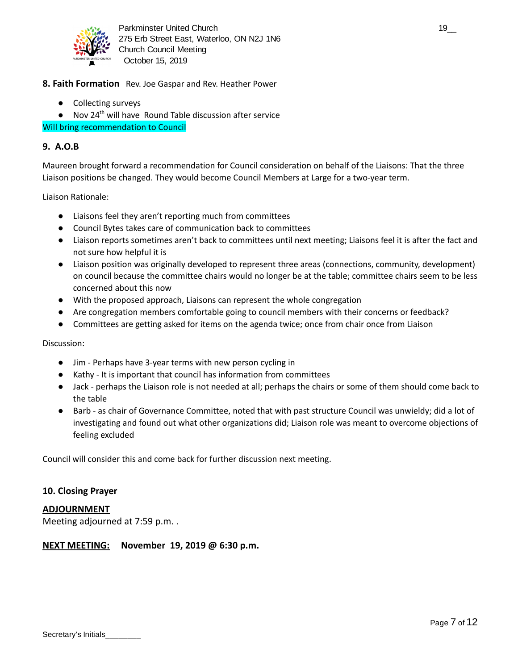

- **8. Faith Formation** Rev. Joe Gaspar and Rev. Heather Power
	- Collecting surveys
	- Nov 24<sup>th</sup> will have Round Table discussion after service

#### Will bring recommendation to Council

#### **9. A.O.B**

Maureen brought forward a recommendation for Council consideration on behalf of the Liaisons: That the three Liaison positions be changed. They would become Council Members at Large for a two-year term.

Liaison Rationale:

- Liaisons feel they aren't reporting much from committees
- Council Bytes takes care of communication back to committees
- Liaison reports sometimes aren't back to committees until next meeting; Liaisons feel it is after the fact and not sure how helpful it is
- Liaison position was originally developed to represent three areas (connections, community, development) on council because the committee chairs would no longer be at the table; committee chairs seem to be less concerned about this now
- With the proposed approach, Liaisons can represent the whole congregation
- Are congregation members comfortable going to council members with their concerns or feedback?
- Committees are getting asked for items on the agenda twice; once from chair once from Liaison

Discussion:

- Jim Perhaps have 3-year terms with new person cycling in
- Kathy It is important that council has information from committees
- Jack perhaps the Liaison role is not needed at all; perhaps the chairs or some of them should come back to the table
- Barb as chair of Governance Committee, noted that with past structure Council was unwieldy; did a lot of investigating and found out what other organizations did; Liaison role was meant to overcome objections of feeling excluded

Council will consider this and come back for further discussion next meeting.

#### **10. Closing Prayer**

**ADJOURNMENT** 

Meeting adjourned at 7:59 p.m. .

#### **NEXT MEETING: November 19, 2019 @ 6:30 p.m.**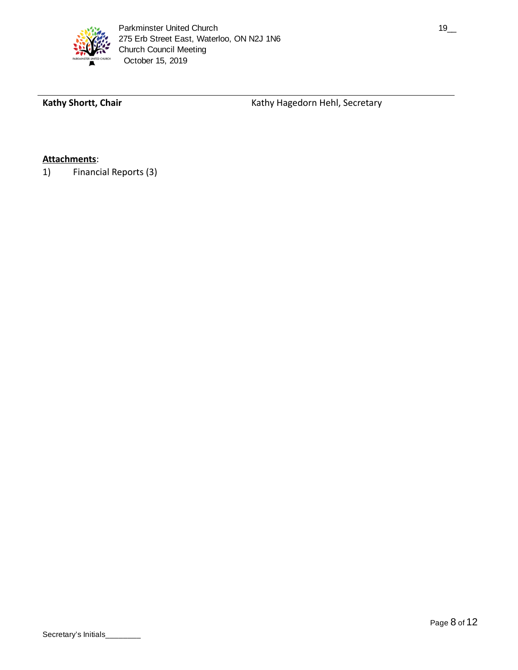

Kathy Shortt, Chair **Kathy Hagedorn Hehl, Secretary Kathy Hagedorn Hehl, Secretary** 

# **Attachments** :

1) Financial Reports (3)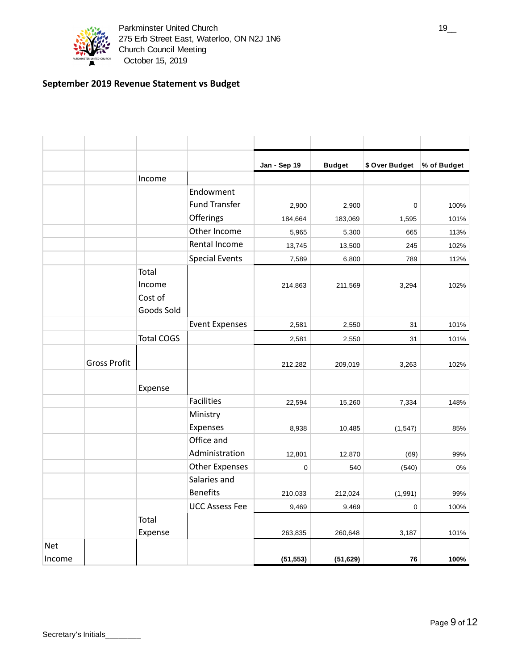

# **September 2019 Revenue Statement vs Budget**

|            |                     |                       |                       | Jan - Sep 19 | <b>Budget</b> | \$ Over Budget | % of Budget |
|------------|---------------------|-----------------------|-----------------------|--------------|---------------|----------------|-------------|
|            |                     | Income                |                       |              |               |                |             |
|            |                     |                       | Endowment             |              |               |                |             |
|            |                     |                       | <b>Fund Transfer</b>  | 2,900        | 2,900         | 0              | 100%        |
|            |                     |                       | Offerings             | 184,664      | 183,069       | 1,595          | 101%        |
|            |                     |                       | Other Income          | 5,965        | 5,300         | 665            | 113%        |
|            |                     |                       | Rental Income         | 13,745       | 13,500        | 245            | 102%        |
|            |                     |                       | <b>Special Events</b> | 7,589        | 6,800         | 789            | 112%        |
|            |                     | Total                 |                       |              |               |                |             |
|            |                     | Income                |                       | 214,863      | 211,569       | 3,294          | 102%        |
|            |                     | Cost of<br>Goods Sold |                       |              |               |                |             |
|            |                     |                       | <b>Event Expenses</b> | 2,581        | 2,550         | 31             | 101%        |
|            |                     | <b>Total COGS</b>     |                       | 2,581        | 2,550         | 31             | 101%        |
|            | <b>Gross Profit</b> |                       |                       | 212,282      | 209,019       | 3,263          | 102%        |
|            |                     | Expense               |                       |              |               |                |             |
|            |                     |                       | <b>Facilities</b>     | 22,594       | 15,260        | 7,334          | 148%        |
|            |                     |                       | Ministry<br>Expenses  | 8,938        | 10,485        | (1, 547)       | 85%         |
|            |                     |                       | Office and            |              |               |                |             |
|            |                     |                       | Administration        | 12,801       | 12,870        | (69)           | 99%         |
|            |                     |                       | <b>Other Expenses</b> | 0            | 540           | (540)          | 0%          |
|            |                     |                       | Salaries and          |              |               |                |             |
|            |                     |                       | <b>Benefits</b>       | 210,033      | 212,024       | (1,991)        | 99%         |
|            |                     |                       | <b>UCC Assess Fee</b> | 9,469        | 9,469         | 0              | 100%        |
|            |                     | Total<br>Expense      |                       | 263,835      | 260,648       | 3,187          | 101%        |
| <b>Net</b> |                     |                       |                       |              |               |                |             |
| Income     |                     |                       |                       | (51, 553)    | (51, 629)     | 76             | 100%        |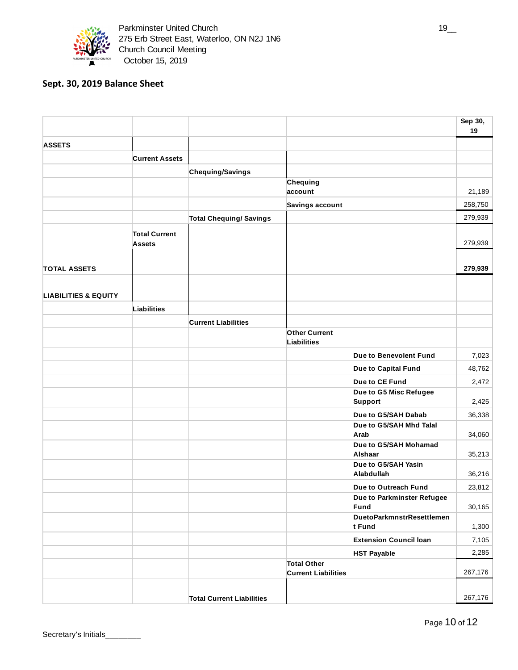

# **Sept. 30, 2019 Balance Sheet**

|                                 |                                       |                                  |                                                  |                                          | Sep 30,<br>19 |
|---------------------------------|---------------------------------------|----------------------------------|--------------------------------------------------|------------------------------------------|---------------|
| <b>ASSETS</b>                   |                                       |                                  |                                                  |                                          |               |
|                                 | <b>Current Assets</b>                 |                                  |                                                  |                                          |               |
|                                 |                                       | Chequing/Savings                 |                                                  |                                          |               |
|                                 |                                       |                                  | Chequing                                         |                                          |               |
|                                 |                                       |                                  | account                                          |                                          | 21,189        |
|                                 |                                       |                                  | Savings account                                  |                                          | 258,750       |
|                                 |                                       | <b>Total Chequing/ Savings</b>   |                                                  |                                          | 279,939       |
|                                 | <b>Total Current</b><br><b>Assets</b> |                                  |                                                  |                                          | 279,939       |
| <b>TOTAL ASSETS</b>             |                                       |                                  |                                                  |                                          | 279,939       |
| <b>LIABILITIES &amp; EQUITY</b> |                                       |                                  |                                                  |                                          |               |
|                                 | <b>Liabilities</b>                    |                                  |                                                  |                                          |               |
|                                 |                                       | <b>Current Liabilities</b>       |                                                  |                                          |               |
|                                 |                                       |                                  | <b>Other Current</b><br>Liabilities              |                                          |               |
|                                 |                                       |                                  |                                                  | Due to Benevolent Fund                   | 7,023         |
|                                 |                                       |                                  |                                                  | Due to Capital Fund                      | 48,762        |
|                                 |                                       |                                  |                                                  | Due to CE Fund                           | 2,472         |
|                                 |                                       |                                  |                                                  | Due to G5 Misc Refugee<br><b>Support</b> | 2,425         |
|                                 |                                       |                                  |                                                  | Due to G5/SAH Dabab                      | 36,338        |
|                                 |                                       |                                  |                                                  | Due to G5/SAH Mhd Talal<br>Arab          | 34,060        |
|                                 |                                       |                                  |                                                  | Due to G5/SAH Mohamad<br>Alshaar         | 35,213        |
|                                 |                                       |                                  |                                                  | Due to G5/SAH Yasin<br>Alabdullah        | 36,216        |
|                                 |                                       |                                  |                                                  | Due to Outreach Fund                     | 23,812        |
|                                 |                                       |                                  |                                                  | Due to Parkminster Refugee               |               |
|                                 |                                       |                                  |                                                  | Fund<br>DuetoParkmnstrResettlemen        | 30,165        |
|                                 |                                       |                                  |                                                  | t Fund                                   | 1,300         |
|                                 |                                       |                                  |                                                  | <b>Extension Council loan</b>            | 7,105         |
|                                 |                                       |                                  |                                                  | <b>HST Payable</b>                       | 2,285         |
|                                 |                                       |                                  | <b>Total Other</b><br><b>Current Liabilities</b> |                                          | 267,176       |
|                                 |                                       | <b>Total Current Liabilities</b> |                                                  |                                          | 267,176       |

Secretary's Initials\_

Page 10 of 12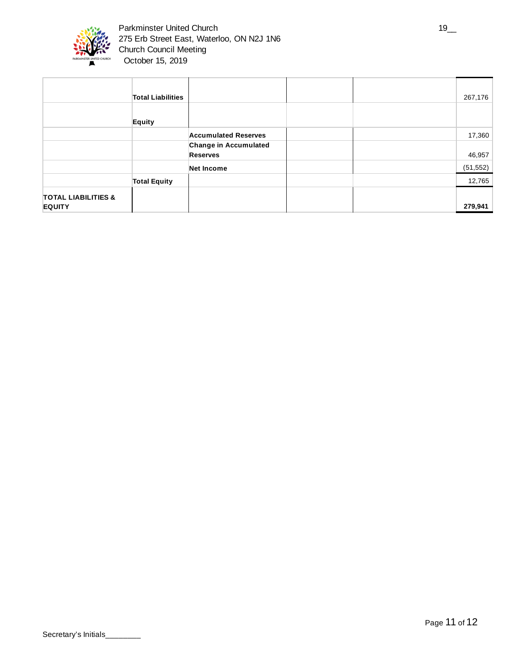

|                                                 | <b>Total Liabilities</b> |                                                 |  | 267,176   |
|-------------------------------------------------|--------------------------|-------------------------------------------------|--|-----------|
|                                                 | Equity                   |                                                 |  |           |
|                                                 |                          | <b>Accumulated Reserves</b>                     |  | 17,360    |
|                                                 |                          | <b>Change in Accumulated</b><br><b>Reserves</b> |  | 46,957    |
|                                                 |                          | Net Income                                      |  | (51, 552) |
|                                                 | <b>Total Equity</b>      |                                                 |  | 12,765    |
| <b>TOTAL LIABILITIES &amp;</b><br><b>EQUITY</b> |                          |                                                 |  | 279,941   |